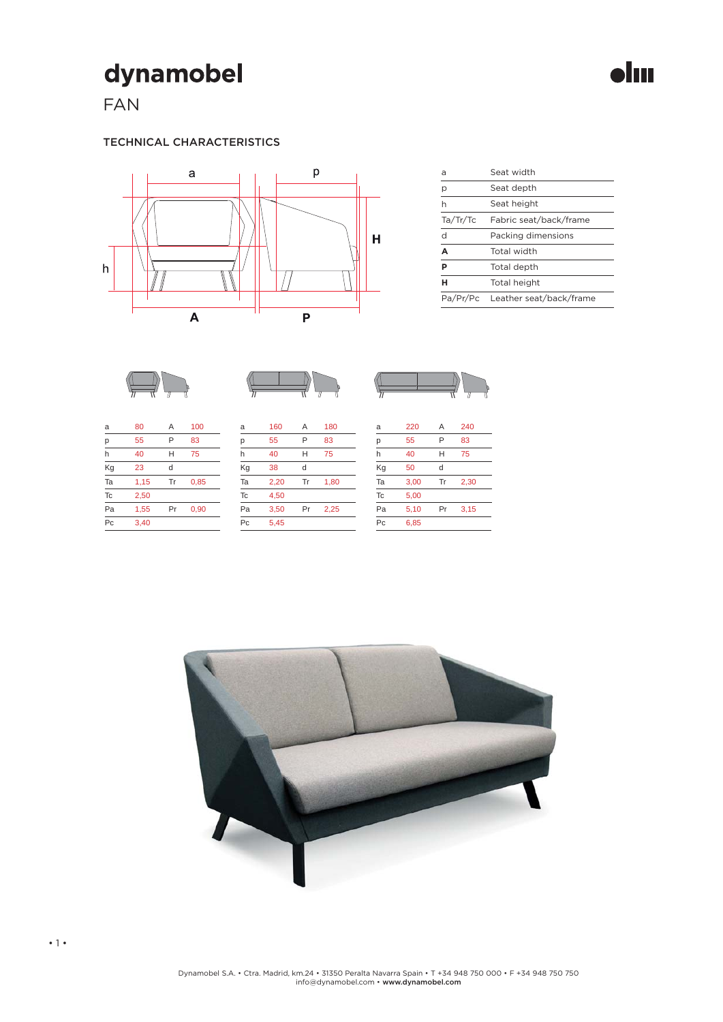# dynamobel

FAN

### TECHNICAL CHARACTERISTICS



| a            | Seat width                       |  |
|--------------|----------------------------------|--|
| р            | Seat depth                       |  |
| h            | Seat height                      |  |
| Ta/Tr/Tc     | Fabric seat/back/frame           |  |
| $\mathsf{d}$ | Packing dimensions               |  |
| A            | Total width                      |  |
| Þ            | Total depth                      |  |
| н            | Total height                     |  |
|              | Pa/Pr/Pc Leather seat/back/frame |  |







| a  | 80   | Α  | 100  |
|----|------|----|------|
| р  | 55   | P  | 83   |
| h  | 40   | Н  | 75   |
| Kg | 23   | d  |      |
| Ta | 1,15 | Tr | 0,85 |
| Tc | 2,50 |    |      |
| Pa | 1,55 | Pr | 0,90 |
| Pc | 3,40 |    |      |

| a              | 160  | Α  | 180  |
|----------------|------|----|------|
| р              | 55   | P  | 83   |
| h              | 40   | Н  | 75   |
| Kg             | 38   | d  |      |
| Ta             | 2.20 | Tr | 1,80 |
| <b>Tc</b>      | 4.50 |    |      |
| Pa             | 3,50 | Pr | 2,25 |
| P <sub>C</sub> | 5,45 |    |      |

| a  | 220  | Α  | 240  |
|----|------|----|------|
| р  | 55   | P  | 83   |
| h  | 40   | н  | 75   |
| Kg | 50   | d  |      |
| Ta | 3,00 | Tr | 2,30 |
| Tc | 5,00 |    |      |
| Pa | 5,10 | Pr | 3,15 |
| Pc | 6,85 |    |      |
|    |      |    |      |



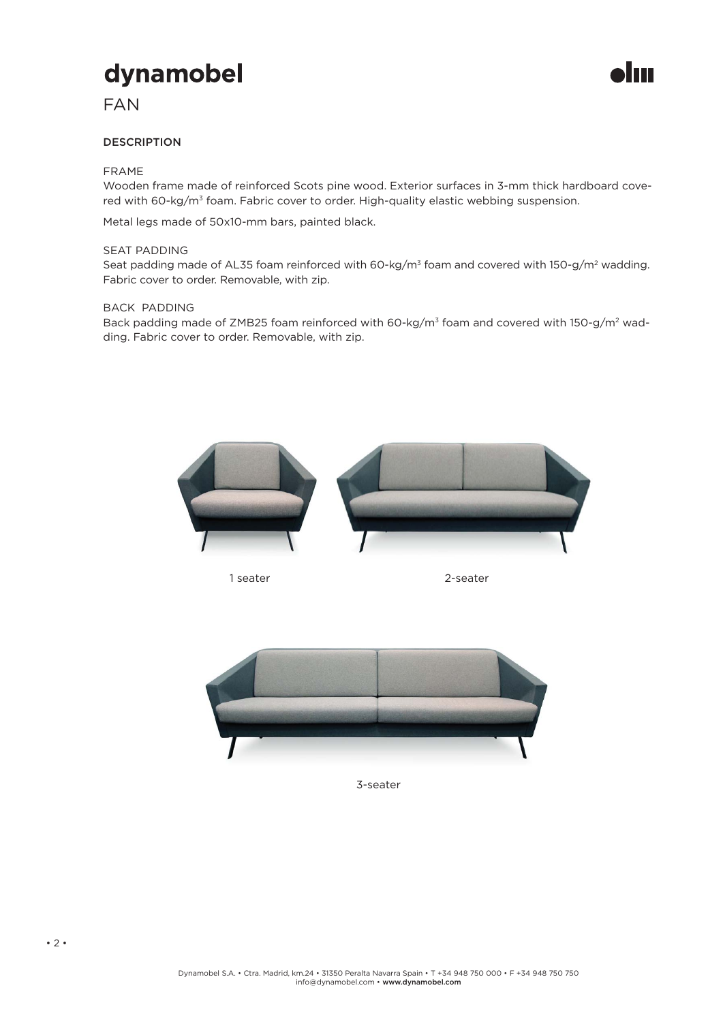## dynamobel

## FAN

### DESCRIPTION

### FRAME

Wooden frame made of reinforced Scots pine wood. Exterior surfaces in 3-mm thick hardboard covered with 60-kg/m<sup>3</sup> foam. Fabric cover to order. High-quality elastic webbing suspension.

Metal legs made of 50x10-mm bars, painted black.

#### SEAT PADDING

Seat padding made of AL35 foam reinforced with 60-kg/m<sup>3</sup> foam and covered with 150-g/m<sup>2</sup> wadding. Fabric cover to order. Removable, with zip.

#### BACK PADDING

Back padding made of ZMB25 foam reinforced with 60-kg/m<sup>3</sup> foam and covered with 150-g/m<sup>2</sup> wadding. Fabric cover to order. Removable, with zip.



1 seater 2-seater



3-seater